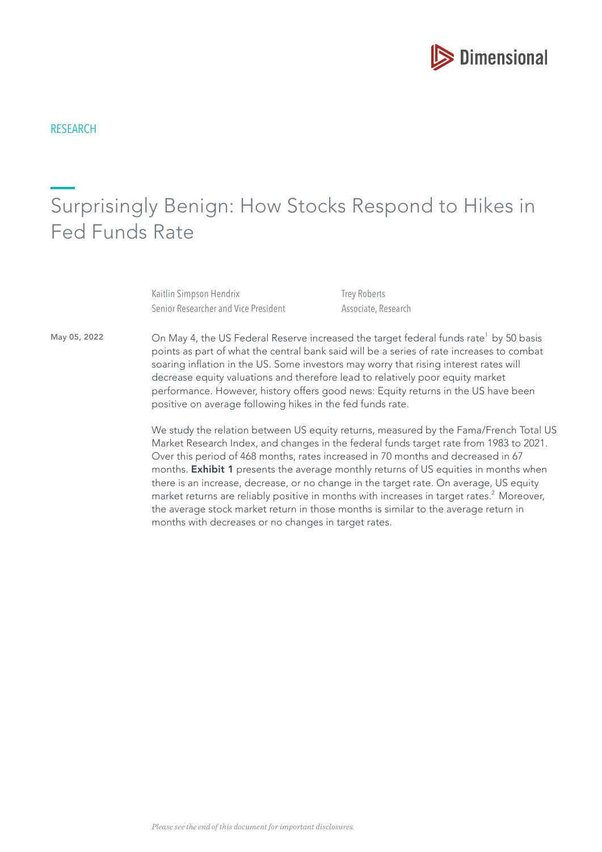

# Surprisingly Benign: How Stocks Respond to Hikes in Fed Funds Rate

Kaitlin Simpson Hendrix Senior Researcher and Vice President Trey Roberts Associate, Research

May 05, 2022

On May 4, the US Federal Reserve increased the target federal funds rate<sup>1</sup> by 50 basis points as part of what the central bank said will be a series of rate increases to combat soaring infation in the US. Some investors may worry that rising interest rates will decrease equity valuations and therefore lead to relatively poor equity market performance. However, history offers good news: Equity returns in the US have been positive on average following hikes in the fed funds rate.

We study the relation between US equity returns, measured by the Fama/French Total US Market Research Index, and changes in the federal funds target rate from 1983 to 2021. Over this period of 468 months, rates increased in 70 months and decreased in 67 months. Exhibit 1 presents the average monthly returns of US equities in months when there is an increase, decrease, or no change in the target rate. On average, US equity market returns are reliably positive in months with increases in target rates.<sup>2</sup> Moreover, the average stock market return in those months is similar to the average return in months with decreases or no changes in target rates.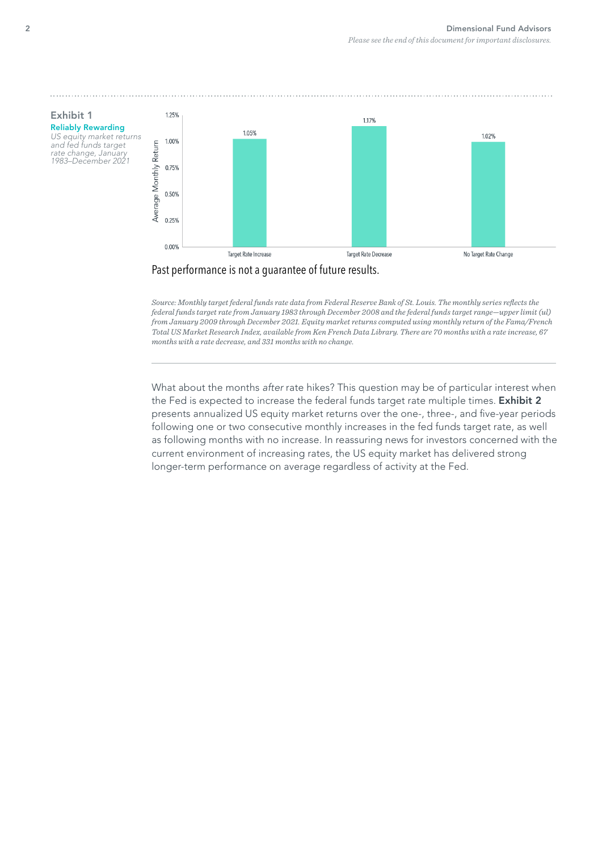



*Source: Monthly target federal funds rate data from Federal Reserve Bank of St. Louis. The monthly series refects the federal funds target rate from January 1983 through December 2008 and the federal funds target range—upper limit (ul) from January 2009 through December 2021. Equity market returns computed using monthly return of the Fama/French Total US Market Research Index, available from Ken French Data Library. There are 70 months with a rate increase, 67 months with a rate decrease, and 331 months with no change.*

What about the months after rate hikes? This question may be of particular interest when the Fed is expected to increase the federal funds target rate multiple times. Exhibit 2 presents annualized US equity market returns over the one-, three-, and five-year periods following one or two consecutive monthly increases in the fed funds target rate, as well as following months with no increase. In reassuring news for investors concerned with the current environment of increasing rates, the US equity market has delivered strong longer-term performance on average regardless of activity at the Fed.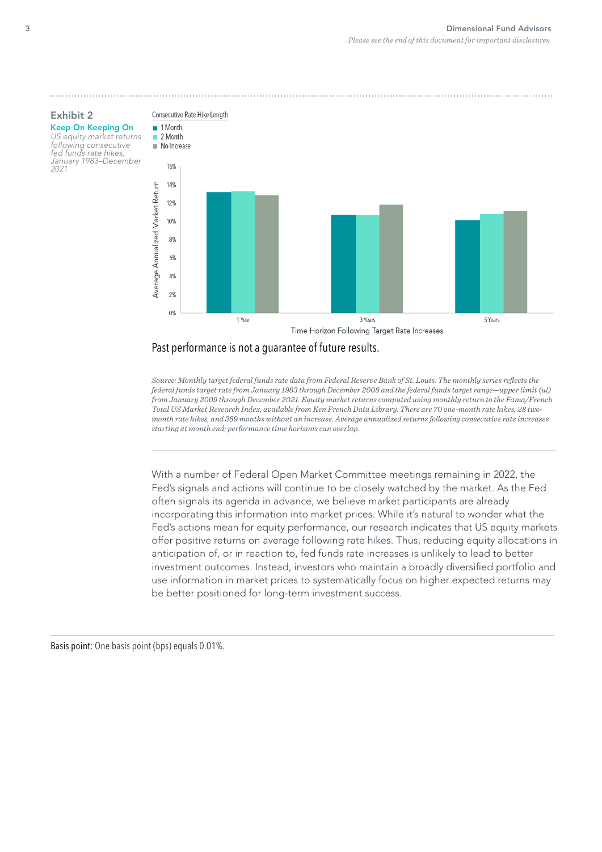

Exhibit 2 Keep On Keeping On US equity market returns following consecutive

fed funds rate hikes, January 1983–December

2021



## Past performance is not a guarantee of future results.

*Source: Monthly target federal funds rate data from Federal Reserve Bank of St. Louis. The monthly series refects the federal funds target rate from January 1983 through December 2008 and the federal funds target range—upper limit (ul) from January 2009 through December 2021. Equity market returns computed using monthly return to the Fama/French Total US Market Research Index, available from Ken French Data Library. There are 70 one-month rate hikes, 28 twomonth rate hikes, and 389 months without an increase. Average annualized returns following consecutive rate increases starting at month end; performance time horizons can overlap.*

With a number of Federal Open Market Committee meetings remaining in 2022, the Fed's signals and actions will continue to be closely watched by the market. As the Fed often signals its agenda in advance, we believe market participants are already incorporating this information into market prices. While it's natural to wonder what the Fed's actions mean for equity performance, our research indicates that US equity markets offer positive returns on average following rate hikes. Thus, reducing equity allocations in anticipation of, or in reaction to, fed funds rate increases is unlikely to lead to better investment outcomes. Instead, investors who maintain a broadly diversifed portfolio and use information in market prices to systematically focus on higher expected returns may be better positioned for long-term investment success.

Basis point: One basis point (bps) equals 0.01%.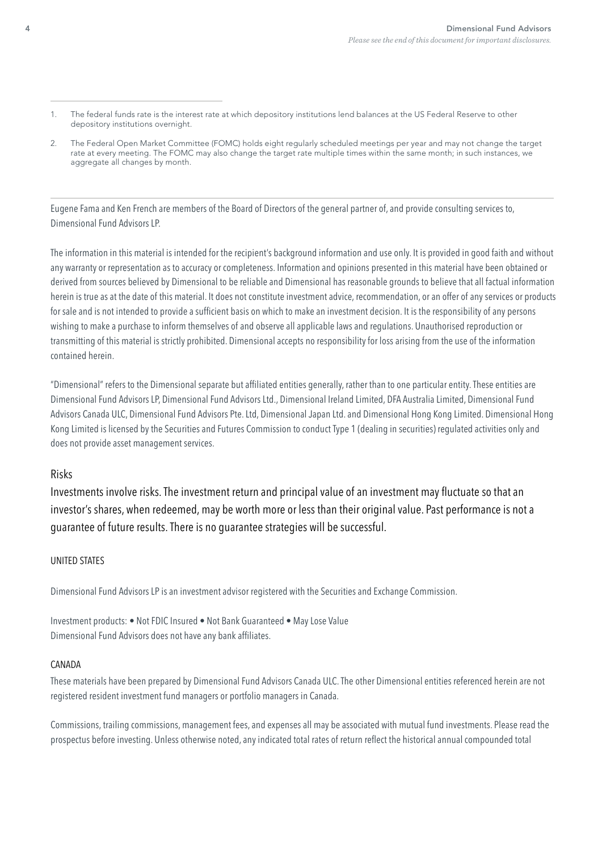- 1. The federal funds rate is the interest rate at which depository institutions lend balances at the US Federal Reserve to other depository institutions overnight.
- 2. The Federal Open Market Committee (FOMC) holds eight regularly scheduled meetings per year and may not change the target rate at every meeting. The FOMC may also change the target rate multiple times within the same month; in such instances, we aggregate all changes by month.

Eugene Fama and Ken French are members of the Board of Directors of the general partner of, and provide consulting services to, Dimensional Fund Advisors LP.

The information in this material is intended for the recipient's background information and use only. It is provided in good faith and without any warranty or representation as to accuracy or completeness. Information and opinions presented in this material have been obtained or derived from sources believed by Dimensional to be reliable and Dimensional has reasonable grounds to believe that all factual information herein is true as at the date of this material. It does not constitute investment advice, recommendation, or an offer of any services or products for sale and is not intended to provide a sufficient basis on which to make an investment decision. It is the responsibility of any persons wishing to make a purchase to inform themselves of and observe all applicable laws and regulations. Unauthorised reproduction or transmitting of this material is strictly prohibited. Dimensional accepts no responsibility for loss arising from the use of the information contained herein.

"Dimensional" refers to the Dimensional separate but affliated entities generally, rather than to one particular entity. These entities are Dimensional Fund Advisors LP, Dimensional Fund Advisors Ltd., Dimensional Ireland Limited, DFA Australia Limited, Dimensional Fund Advisors Canada ULC, Dimensional Fund Advisors Pte. Ltd, Dimensional Japan Ltd. and Dimensional Hong Kong Limited. Dimensional Hong Kong Limited is licensed by the Securities and Futures Commission to conduct Type 1 (dealing in securities) regulated activities only and does not provide asset management services.

## Risks

Investments involve risks. The investment return and principal value of an investment may fuctuate so that an investor's shares, when redeemed, may be worth more or less than their original value. Past performance is not a guarantee of future results. There is no guarantee strategies will be successful.

## UNITED STATES

Dimensional Fund Advisors LP is an investment advisor registered with the Securities and Exchange Commission.

Investment products: • Not FDIC Insured • Not Bank Guaranteed • May Lose Value Dimensional Fund Advisors does not have any bank affliates.

#### CANADA

These materials have been prepared by Dimensional Fund Advisors Canada ULC. The other Dimensional entities referenced herein are not registered resident investment fund managers or portfolio managers in Canada.

Commissions, trailing commissions, management fees, and expenses all may be associated with mutual fund investments. Please read the prospectus before investing. Unless otherwise noted, any indicated total rates of return refect the historical annual compounded total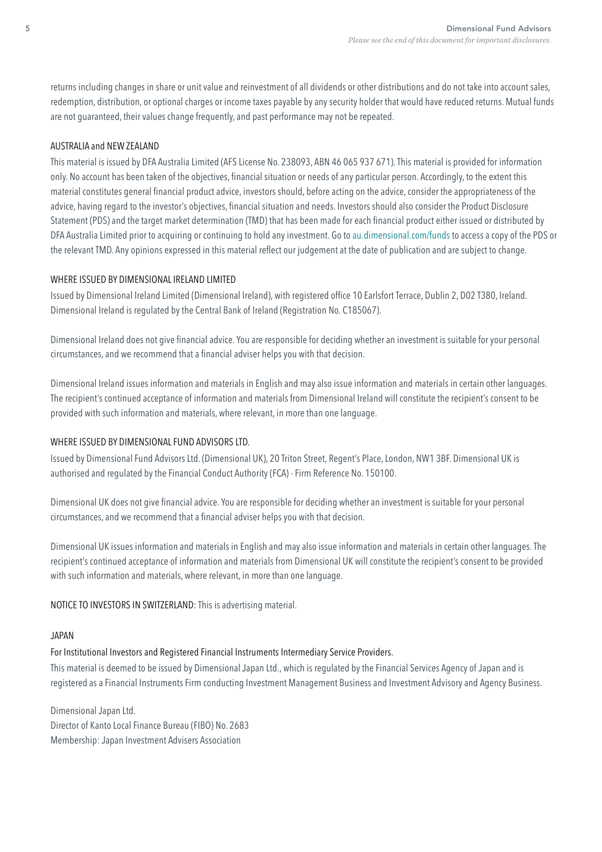returns including changes in share or unit value and reinvestment of all dividends or other distributions and do not take into account sales, redemption, distribution, or optional charges or income taxes payable by any security holder that would have reduced returns. Mutual funds are not guaranteed, their values change frequently, and past performance may not be repeated.

#### AUSTRALIA and NEW ZEALAND

This material is issued by DFA Australia Limited (AFS License No. 238093, ABN 46 065 937 671). This material is provided for information only. No account has been taken of the objectives, fnancial situation or needs of any particular person. Accordingly, to the extent this material constitutes general fnancial product advice, investors should, before acting on the advice, consider the appropriateness of the advice, having regard to the investor's objectives, fnancial situation and needs. Investors should also consider the Product Disclosure Statement (PDS) and the target market determination (TMD) that has been made for each fnancial product either issued or distributed by DFA Australia Limited prior to acquiring or continuing to hold any investment. Go to [au.dimensional.com/funds](https://au.dimensional.com/funds) to access a copy of the PDS or the relevant TMD. Any opinions expressed in this material refect our judgement at the date of publication and are subject to change.

#### WHERE ISSUED BY DIMENSIONAL IRELAND LIMITED

Issued by Dimensional Ireland Limited (Dimensional Ireland), with registered offce 10 Earlsfort Terrace, Dublin 2, D02 T380, Ireland. Dimensional Ireland is regulated by the Central Bank of Ireland (Registration No. C185067).

Dimensional Ireland does not give fnancial advice. You are responsible for deciding whether an investment is suitable for your personal circumstances, and we recommend that a fnancial adviser helps you with that decision.

Dimensional Ireland issues information and materials in English and may also issue information and materials in certain other languages. The recipient's continued acceptance of information and materials from Dimensional Ireland will constitute the recipient's consent to be provided with such information and materials, where relevant, in more than one language.

## WHERE ISSUED BY DIMENSIONAL FUND ADVISORS LTD.

Issued by Dimensional Fund Advisors Ltd. (Dimensional UK), 20 Triton Street, Regent's Place, London, NW1 3BF. Dimensional UK is authorised and regulated by the Financial Conduct Authority (FCA) - Firm Reference No. 150100.

Dimensional UK does not give fnancial advice. You are responsible for deciding whether an investment is suitable for your personal circumstances, and we recommend that a fnancial adviser helps you with that decision.

Dimensional UK issues information and materials in English and may also issue information and materials in certain other languages. The recipient's continued acceptance of information and materials from Dimensional UK will constitute the recipient's consent to be provided with such information and materials, where relevant, in more than one language.

NOTICE TO INVESTORS IN SWITZERLAND: This is advertising material.

#### JAPAN

# For Institutional Investors and Registered Financial Instruments Intermediary Service Providers.

This material is deemed to be issued by Dimensional Japan Ltd., which is regulated by the Financial Services Agency of Japan and is registered as a Financial Instruments Firm conducting Investment Management Business and Investment Advisory and Agency Business.

Dimensional Japan Ltd. Director of Kanto Local Finance Bureau (FIBO) No. 2683 Membership: Japan Investment Advisers Association